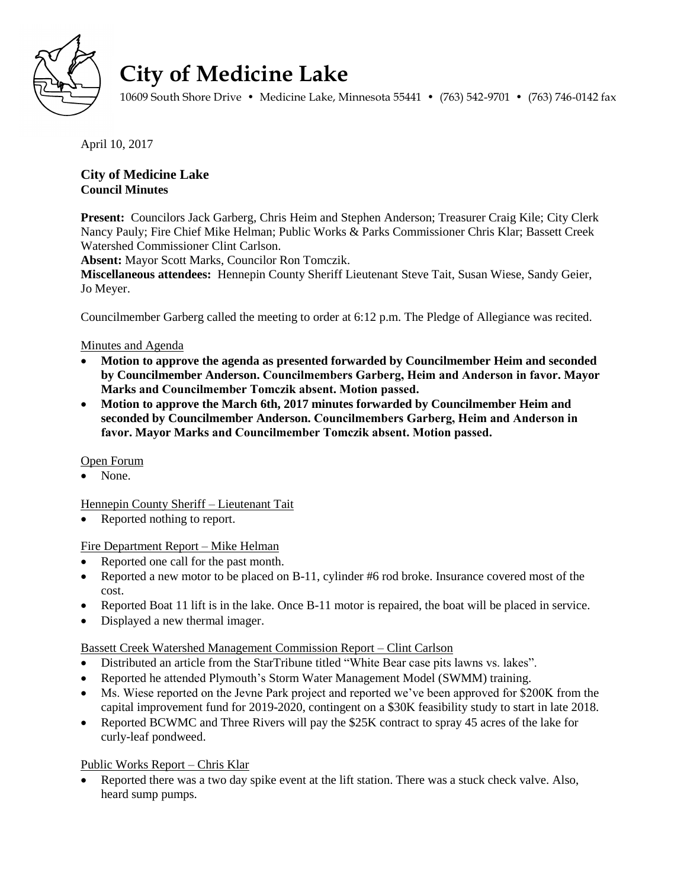

# **City of Medicine Lake**

10609 South Shore Drive • Medicine Lake, Minnesota 55441 • (763) 542-9701 • (763) 746-0142 fax

April 10, 2017

# **City of Medicine Lake Council Minutes**

**Present:** Councilors Jack Garberg, Chris Heim and Stephen Anderson; Treasurer Craig Kile; City Clerk Nancy Pauly; Fire Chief Mike Helman; Public Works & Parks Commissioner Chris Klar; Bassett Creek Watershed Commissioner Clint Carlson.

**Absent:** Mayor Scott Marks, Councilor Ron Tomczik.

**Miscellaneous attendees:** Hennepin County Sheriff Lieutenant Steve Tait, Susan Wiese, Sandy Geier, Jo Meyer.

Councilmember Garberg called the meeting to order at 6:12 p.m. The Pledge of Allegiance was recited.

## Minutes and Agenda

- **Motion to approve the agenda as presented forwarded by Councilmember Heim and seconded by Councilmember Anderson. Councilmembers Garberg, Heim and Anderson in favor. Mayor Marks and Councilmember Tomczik absent. Motion passed.**
- **Motion to approve the March 6th, 2017 minutes forwarded by Councilmember Heim and seconded by Councilmember Anderson. Councilmembers Garberg, Heim and Anderson in favor. Mayor Marks and Councilmember Tomczik absent. Motion passed.**

### Open Forum

None.

Hennepin County Sheriff – Lieutenant Tait

Reported nothing to report.

### Fire Department Report – Mike Helman

- Reported one call for the past month.
- Reported a new motor to be placed on B-11, cylinder #6 rod broke. Insurance covered most of the cost.
- Reported Boat 11 lift is in the lake. Once B-11 motor is repaired, the boat will be placed in service.
- Displayed a new thermal imager.

# Bassett Creek Watershed Management Commission Report – Clint Carlson

- Distributed an article from the StarTribune titled "White Bear case pits lawns vs. lakes".
- Reported he attended Plymouth's Storm Water Management Model (SWMM) training.
- Ms. Wiese reported on the Jevne Park project and reported we've been approved for \$200K from the capital improvement fund for 2019-2020, contingent on a \$30K feasibility study to start in late 2018.
- Reported BCWMC and Three Rivers will pay the \$25K contract to spray 45 acres of the lake for curly-leaf pondweed.

# Public Works Report – Chris Klar

 Reported there was a two day spike event at the lift station. There was a stuck check valve. Also, heard sump pumps.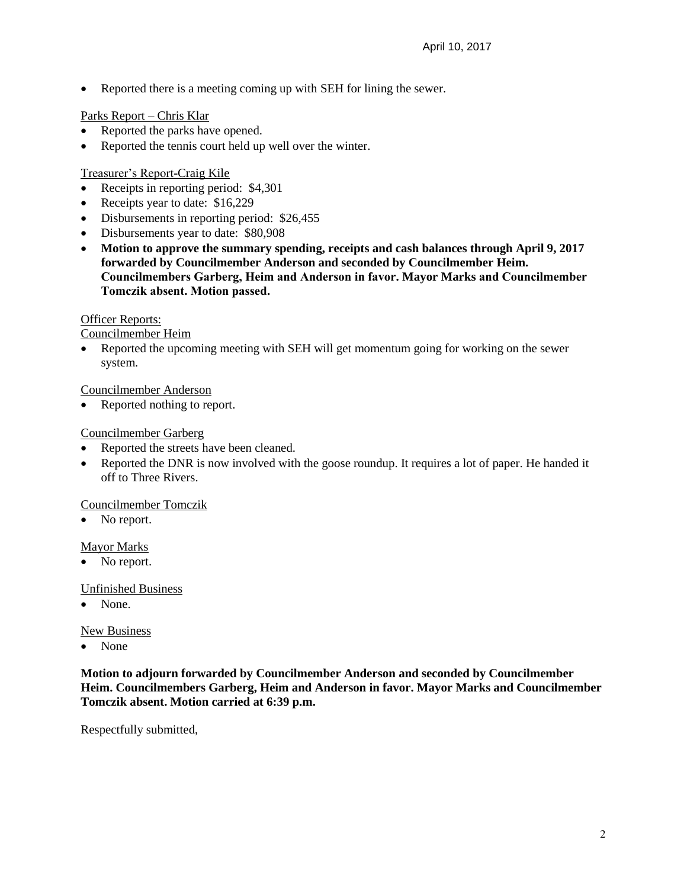• Reported there is a meeting coming up with SEH for lining the sewer.

## Parks Report – Chris Klar

- Reported the parks have opened.
- Reported the tennis court held up well over the winter.

## Treasurer's Report-Craig Kile

- Receipts in reporting period: \$4,301
- Receipts year to date: \$16,229
- Disbursements in reporting period: \$26,455
- Disbursements year to date: \$80,908
- **Motion to approve the summary spending, receipts and cash balances through April 9, 2017 forwarded by Councilmember Anderson and seconded by Councilmember Heim. Councilmembers Garberg, Heim and Anderson in favor. Mayor Marks and Councilmember Tomczik absent. Motion passed.**

### Officer Reports:

Councilmember Heim

 Reported the upcoming meeting with SEH will get momentum going for working on the sewer system.

## Councilmember Anderson

• Reported nothing to report.

## Councilmember Garberg

- Reported the streets have been cleaned.
- Reported the DNR is now involved with the goose roundup. It requires a lot of paper. He handed it off to Three Rivers.

### Councilmember Tomczik

No report.

# Mayor Marks

• No report.

### Unfinished Business

None.

### New Business

• None

**Motion to adjourn forwarded by Councilmember Anderson and seconded by Councilmember Heim. Councilmembers Garberg, Heim and Anderson in favor. Mayor Marks and Councilmember Tomczik absent. Motion carried at 6:39 p.m.**

Respectfully submitted,